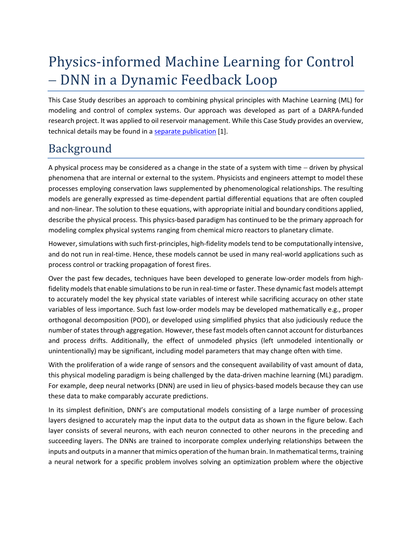# Physics-informed Machine Learning for Control − DNN in a Dynamic Feedback Loop

This Case Study describes an approach to combining physical principles with Machine Learning (ML) for modeling and control of complex systems. Our approach was developed as part of a DARPA-funded research project. It was applied to oil reservoir management. While this Case Study provides an overview, technical details may be found in [a separate publication](https://www.scsolutions.com/wp-content/uploads/PAI_Paper_SPE_2020.pdf) [\[1\].](#page-7-0)

#### Background

A physical process may be considered as a change in the state of a system with time − driven by physical phenomena that are internal or external to the system. Physicists and engineers attempt to model these processes employing conservation laws supplemented by phenomenological relationships. The resulting models are generally expressed as time-dependent partial differential equations that are often coupled and non-linear. The solution to these equations, with appropriate initial and boundary conditions applied, describe the physical process. This physics-based paradigm has continued to be the primary approach for modeling complex physical systems ranging from chemical micro reactors to planetary climate.

However, simulations with such first-principles, high-fidelity models tend to be computationally intensive, and do not run in real-time. Hence, these models cannot be used in many real-world applications such as process control or tracking propagation of forest fires.

Over the past few decades, techniques have been developed to generate low-order models from highfidelity models that enable simulations to be run in real-time or faster. These dynamic fast models attempt to accurately model the key physical state variables of interest while sacrificing accuracy on other state variables of less importance. Such fast low-order models may be developed mathematically e.g., proper orthogonal decomposition (POD), or developed using simplified physics that also judiciously reduce the number of states through aggregation. However, these fast models often cannot account for disturbances and process drifts. Additionally, the effect of unmodeled physics (left unmodeled intentionally or unintentionally) may be significant, including model parameters that may change often with time.

With the proliferation of a wide range of sensors and the consequent availability of vast amount of data, this physical modeling paradigm is being challenged by the data-driven machine learning (ML) paradigm. For example, deep neural networks (DNN) are used in lieu of physics-based models because they can use these data to make comparably accurate predictions.

In its simplest definition, DNN's are computational models consisting of a large number of processing layers designed to accurately map the input data to the output data as shown in the figure below. Each layer consists of several neurons, with each neuron connected to other neurons in the preceding and succeeding layers. The DNNs are trained to incorporate complex underlying relationships between the inputs and outputs in a manner that mimics operation of the human brain. In mathematical terms, training a neural network for a specific problem involves solving an optimization problem where the objective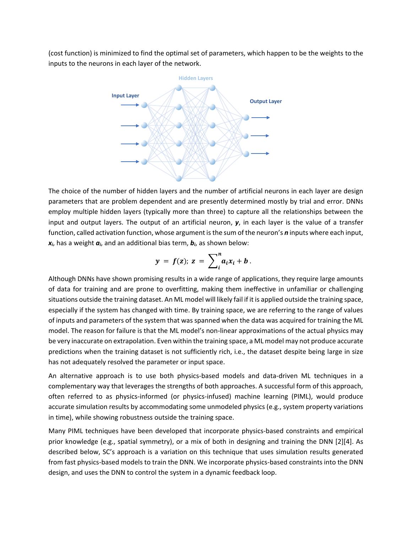(cost function) is minimized to find the optimal set of parameters, which happen to be the weights to the inputs to the neurons in each layer of the network.



The choice of the number of hidden layers and the number of artificial neurons in each layer are design parameters that are problem dependent and are presently determined mostly by trial and error. DNNs employ multiple hidden layers (typically more than three) to capture all the relationships between the input and output layers. The output of an artificial neuron, *y*, in each layer is the value of a transfer function, called activation function, whose argument is the sum of the neuron's *n* inputs where each input, *xi*, has a weight *ai*, and an additional bias term, *bi*, as shown below:

$$
y = f(z); z = \sum_{i}^{n} a_i x_i + b.
$$

Although DNNs have shown promising results in a wide range of applications, they require large amounts of data for training and are prone to overfitting, making them ineffective in unfamiliar or challenging situations outside the training dataset. An ML model will likely fail if it is applied outside the training space, especially if the system has changed with time. By training space, we are referring to the range of values of inputs and parameters of the system that was spanned when the data was acquired for training the ML model. The reason for failure is that the ML model's non-linear approximations of the actual physics may be very inaccurate on extrapolation. Even within the training space, a ML model may not produce accurate predictions when the training dataset is not sufficiently rich, i.e., the dataset despite being large in size has not adequately resolved the parameter or input space.

An alternative approach is to use both physics-based models and data-driven ML techniques in a complementary way that leverages the strengths of both approaches. A successful form of this approach, often referred to as physics-informed (or physics-infused) machine learning (PIML), would produce accurate simulation results by accommodating some unmodeled physics (e.g., system property variations in time), while showing robustness outside the training space.

Many PIML techniques have been developed that incorporate physics-based constraints and empirical prior knowledge (e.g., spatial symmetry), or a mix of both in designing and training the DNN [\[2\]](#page-7-1)[\[4\].](#page-7-2) As described below, SC's approach is a variation on this technique that uses simulation results generated from fast physics-based models to train the DNN. We incorporate physics-based constraints into the DNN design, and uses the DNN to control the system in a dynamic feedback loop.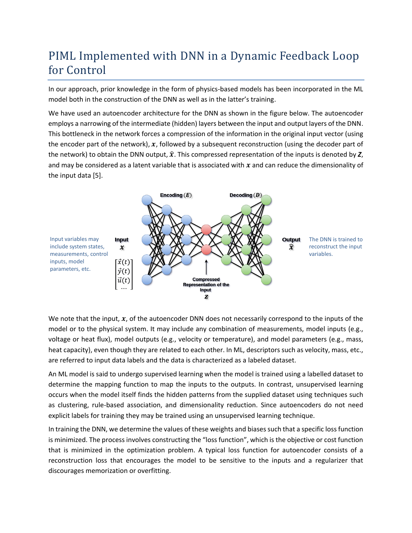### PIML Implemented with DNN in a Dynamic Feedback Loop for Control

In our approach, prior knowledge in the form of physics-based models has been incorporated in the ML model both in the construction of the DNN as well as in the latter's training.

We have used an autoencoder architecture for the DNN as shown in the figure below. The autoencoder employs a narrowing of the intermediate (hidden) layers between the input and output layers of the DNN. This bottleneck in the network forces a compression of the information in the original input vector (using the encoder part of the network),  $x$ , followed by a subsequent reconstruction (using the decoder part of the network) to obtain the DNN output,  $\hat{x}$ . This compressed representation of the inputs is denoted by  $Z$ , and may be considered as a latent variable that is associated with  $x$  and can reduce the dimensionality of the input data [\[5\].](#page-7-3)



We note that the input,  $x$ , of the autoencoder DNN does not necessarily correspond to the inputs of the model or to the physical system. It may include any combination of measurements, model inputs (e.g., voltage or heat flux), model outputs (e.g., velocity or temperature), and model parameters (e.g., mass, heat capacity), even though they are related to each other. In ML, descriptors such as velocity, mass, etc., are referred to input data labels and the data is characterized as a labeled dataset.

An ML model is said to undergo supervised learning when the model is trained using a labelled dataset to determine the mapping function to map the inputs to the outputs. In contrast, unsupervised learning occurs when the model itself finds the hidden patterns from the supplied dataset using techniques such as clustering, rule-based association, and dimensionality reduction. Since autoencoders do not need explicit labels for training they may be trained using an unsupervised learning technique.

In training the DNN, we determine the values of these weights and biases such that a specific loss function is minimized. The process involves constructing the "loss function", which is the objective or cost function that is minimized in the optimization problem. A typical loss function for autoencoder consists of a reconstruction loss that encourages the model to be sensitive to the inputs and a regularizer that discourages memorization or overfitting.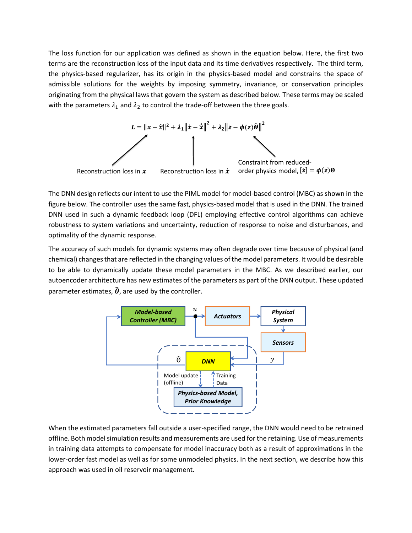The loss function for our application was defined as shown in the equation below. Here, the first two terms are the reconstruction loss of the input data and its time derivatives respectively. The third term, the physics-based regularizer, has its origin in the physics-based model and constrains the space of admissible solutions for the weights by imposing symmetry, invariance, or conservation principles originating from the physical laws that govern the system as described below. These terms may be scaled with the parameters  $\lambda_1$  and  $\lambda_2$  to control the trade-off between the three goals.



The DNN design reflects our intent to use the PIML model for model-based control (MBC) as shown in the figure below. The controller uses the same fast, physics-based model that is used in the DNN. The trained DNN used in such a dynamic feedback loop (DFL) employing effective control algorithms can achieve robustness to system variations and uncertainty, reduction of response to noise and disturbances, and optimality of the dynamic response.

The accuracy of such models for dynamic systems may often degrade over time because of physical (and chemical) changes that are reflected in the changing values of the model parameters. It would be desirable to be able to dynamically update these model parameters in the MBC. As we described earlier, our autoencoder architecture has new estimates of the parameters as part of the DNN output. These updated parameter estimates,  $\widehat{\boldsymbol{\theta}}$ , are used by the controller.



When the estimated parameters fall outside a user-specified range, the DNN would need to be retrained offline. Both model simulation results and measurements are used for the retaining. Use of measurements in training data attempts to compensate for model inaccuracy both as a result of approximations in the lower-order fast model as well as for some unmodeled physics. In the next section, we describe how this approach was used in oil reservoir management.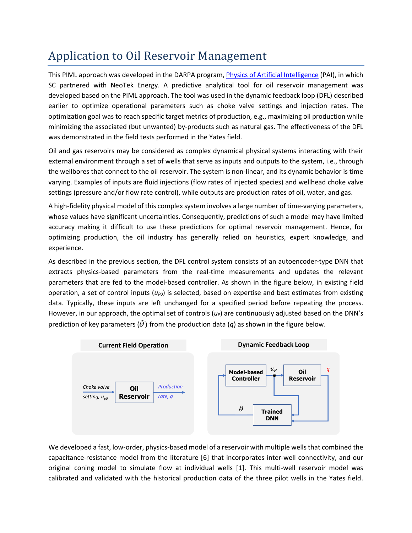## Application to Oil Reservoir Management

This PIML approach was developed in the DARPA program, [Physics of Artificial Intelligence](https://www.darpa.mil/program/physics-of-artificial-intelligence) (PAI), in which SC partnered with NeoTek Energy. A predictive analytical tool for oil reservoir management was developed based on the PIML approach. The tool was used in the dynamic feedback loop (DFL) described earlier to optimize operational parameters such as choke valve settings and injection rates. The optimization goal was to reach specific target metrics of production, e.g., maximizing oil production while minimizing the associated (but unwanted) by-products such as natural gas. The effectiveness of the DFL was demonstrated in the field tests performed in the Yates field.

Oil and gas reservoirs may be considered as complex dynamical physical systems interacting with their external environment through a set of wells that serve as inputs and outputs to the system, i.e., through the wellbores that connect to the oil reservoir. The system is non-linear, and its dynamic behavior is time varying. Examples of inputs are fluid injections (flow rates of injected species) and wellhead choke valve settings (pressure and/or flow rate control), while outputs are production rates of oil, water, and gas.

A high-fidelity physical model of this complex system involves a large number of time-varying parameters, whose values have significant uncertainties. Consequently, predictions of such a model may have limited accuracy making it difficult to use these predictions for optimal reservoir management. Hence, for optimizing production, the oil industry has generally relied on heuristics, expert knowledge, and experience.

As described in the previous section, the DFL control system consists of an autoencoder-type DNN that extracts physics-based parameters from the real-time measurements and updates the relevant parameters that are fed to the model-based controller. As shown in the figure below, in existing field operation, a set of control inputs ( $u_{P0}$ ) is selected, based on expertise and best estimates from existing data. Typically, these inputs are left unchanged for a specified period before repeating the process. However, in our approach, the optimal set of controls (*uP*) are continuously adjusted based on the DNN's prediction of key parameters ( $\hat{\theta}$ ) from the production data (q) as shown in the figure below.



We developed a fast, low-order, physics-based model of a reservoir with multiple wells that combined the capacitance-resistance model from the literature [\[6\]](#page-7-4) that incorporates inter-well connectivity, and our original coning model to simulate flow at individual wells [\[1\].](#page-7-0) This multi-well reservoir model was calibrated and validated with the historical production data of the three pilot wells in the Yates field.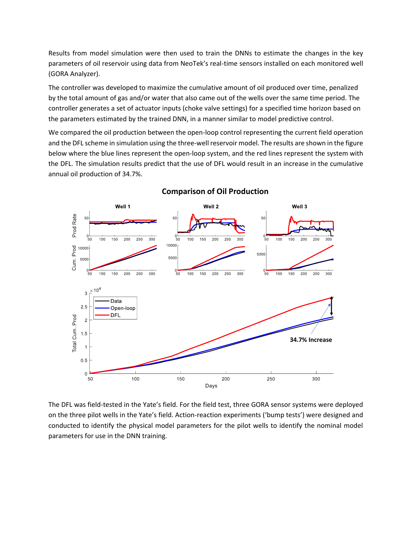Results from model simulation were then used to train the DNNs to estimate the changes in the key parameters of oil reservoir using data from NeoTek's real-time sensors installed on each monitored well (GORA Analyzer).

The controller was developed to maximize the cumulative amount of oil produced over time, penalized by the total amount of gas and/or water that also came out of the wells over the same time period. The controller generates a set of actuator inputs (choke valve settings) for a specified time horizon based on the parameters estimated by the trained DNN, in a manner similar to model predictive control.

We compared the oil production between the open-loop control representing the current field operation and the DFL scheme in simulation using the three-well reservoir model. The results are shown in the figure below where the blue lines represent the open-loop system, and the red lines represent the system with the DFL. The simulation results predict that the use of DFL would result in an increase in the cumulative annual oil production of 34.7%.



#### **Comparison of Oil Production**

The DFL was field-tested in the Yate's field. For the field test, three GORA sensor systems were deployed on the three pilot wells in the Yate's field. Action-reaction experiments ('bump tests') were designed and conducted to identify the physical model parameters for the pilot wells to identify the nominal model parameters for use in the DNN training.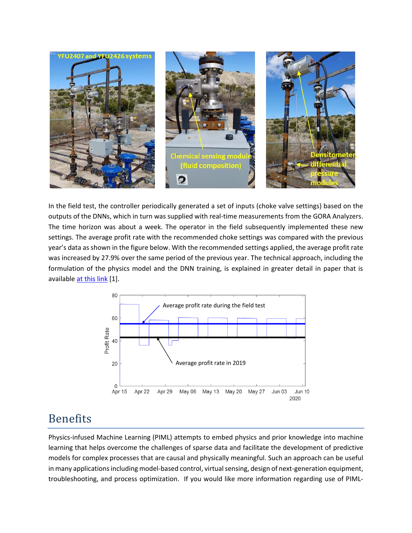

In the field test, the controller periodically generated a set of inputs (choke valve settings) based on the outputs of the DNNs, which in turn was supplied with real-time measurements from the GORA Analyzers. The time horizon was about a week. The operator in the field subsequently implemented these new settings. The average profit rate with the recommended choke settings was compared with the previous year's data as shown in the figure below. With the recommended settings applied, the average profit rate was increased by 27.9% over the same period of the previous year. The technical approach, including the formulation of the physics model and the DNN training, is explained in greater detail in paper that is available [at this](https://www.scsolutions.com/wp-content/uploads/PAI_Paper_SPE_2020.pdf) link [\[1\].](#page-7-0)



#### Benefits

Physics-infused Machine Learning (PIML) attempts to embed physics and prior knowledge into machine learning that helps overcome the challenges of sparse data and facilitate the development of predictive models for complex processes that are causal and physically meaningful. Such an approach can be useful in many applications including model-based control, virtual sensing, design of next-generation equipment, troubleshooting, and process optimization. If you would like more information regarding use of PIML-